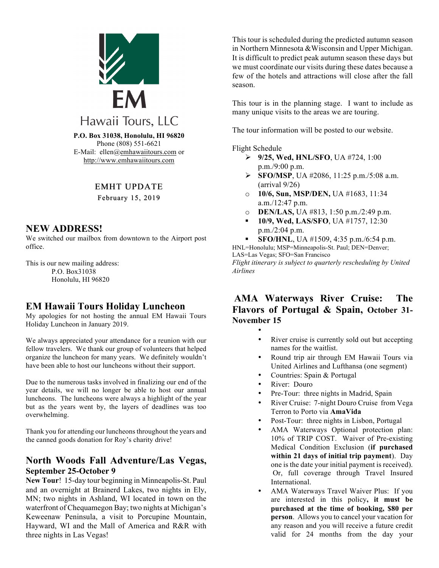

Phone (808) 551-6621 E-Mail: ellen@emhawaiitours.com or http://www.emhawaiitours.com

### EMHT UPDATE

February 15, 2019

### **NEW ADDRESS!**

We switched our mailbox from downtown to the Airport post office.

This is our new mailing address: P.O. Box31038 Honolulu, HI 96820

# **EM Hawaii Tours Holiday Luncheon**

My apologies for not hosting the annual EM Hawaii Tours Holiday Luncheon in January 2019.

We always appreciated your attendance for a reunion with our fellow travelers. We thank our group of volunteers that helped organize the luncheon for many years. We definitely wouldn't have been able to host our luncheons without their support.

Due to the numerous tasks involved in finalizing our end of the year details, we will no longer be able to host our annual luncheons. The luncheons were always a highlight of the year but as the years went by, the layers of deadlines was too overwhelming.

Thank you for attending our luncheons throughout the years and the canned goods donation for Roy's charity drive!

### **North Woods Fall Adventure/Las Vegas, September 25-October 9**

**New Tour**! 15-day tour beginning in Minneapolis-St. Paul and an overnight at Brainerd Lakes, two nights in Ely, MN; two nights in Ashland, WI located in town on the waterfront of Chequamegon Bay; two nights at Michigan's Keweenaw Peninsula, a visit to Porcupine Mountain, Hayward, WI and the Mall of America and R&R with three nights in Las Vegas!

This tour is scheduled during the predicted autumn season in Northern Minnesota &Wisconsin and Upper Michigan. It is difficult to predict peak autumn season these days but we must coordinate our visits during these dates because a few of the hotels and attractions will close after the fall season.

This tour is in the planning stage. I want to include as many unique visits to the areas we are touring.

The tour information will be posted to our website.

#### Flight Schedule

- Ø **9/25, Wed, HNL/SFO**, UA #724, 1:00 p.m./9:00 p.m.
- Ø **SFO/MSP**, UA #2086, 11:25 p.m./5:08 a.m. (arrival 9/26)
- o **10/6, Sun, MSP/DEN,** UA #1683, 11:34 a.m./12:47 p.m.
- o **DEN/LAS,** UA #813, 1:50 p.m./2:49 p.m.
- § **10/9, Wed, LAS/SFO**, UA #1757, 12:30 p.m./2:04 p.m.

§ **SFO/HNL**, UA #1509, 4:35 p.m./6:54 p.m. HNL=Honolulu; MSP=Minneapolis-St. Paul; DEN=Denver; LAS=Las Vegas; SFO=San Francisco *Flight itinerary is subject to quarterly rescheduling by United Airlines*

## **AMA Waterways River Cruise: The Flavors of Portugal & Spain, October 31- November 15**

- •
- River cruise is currently sold out but accepting names for the waitlist.
- Round trip air through EM Hawaii Tours via United Airlines and Lufthansa (one segment)
- Countries: Spain & Portugal
- River: Douro
- Pre-Tour: three nights in Madrid, Spain
- River Cruise: 7-night Douro Cruise from Vega Terron to Porto via **AmaVida**
- Post-Tour: three nights in Lisbon, Portugal
- AMA Waterways Optional protection plan: 10% of TRIP COST. Waiver of Pre-existing Medical Condition Exclusion (**if purchased within 21 days of initial trip payment**). Day one is the date your initial payment is received). Or, full coverage through Travel Insured International.
- AMA Waterways Travel Waiver Plus: If you are interested in this policy**, it must be purchased at the time of booking, \$80 per person**. Allows you to cancel your vacation for any reason and you will receive a future credit valid for 24 months from the day your